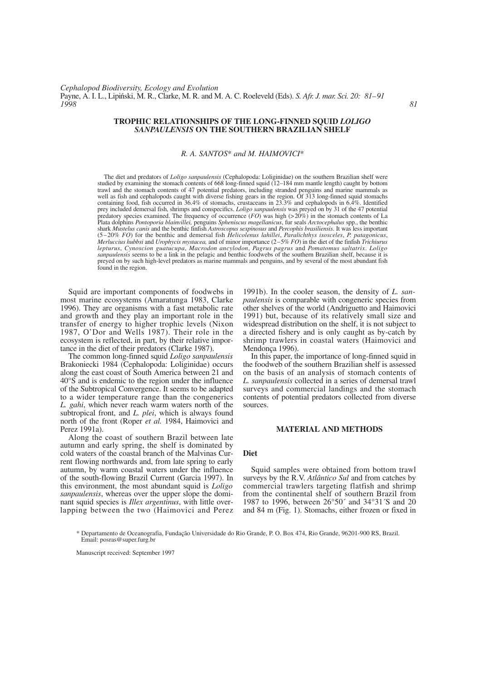### **TROPHIC RELATIONSHIPS OF THE LONG-FINNED SQUID** *LOLIGO SANPAULENSIS* **ON THE SOUTHERN BRAZILIAN SHELF**

# *R. A. SANTOS*\* *and M. HAIMOVICI*\*

The diet and predators of *Loligo sanpaulensis* (Cephalopoda: Loliginidae) on the southern Brazilian shelf were studied by examining the stomach contents of 668 long-finned squid (12–184 mm mantle length) caught by bottom trawl and the stomach contents of 47 potential predators, including stranded penguins and marine mammals as well as fish and cephalopods caught with diverse fishing gears in the region. Of 313 long-finned squid stomachs containing food, fish occurred in 36.4% of stomachs, crustaceans in 23.3% and cephalopods in 6.4%. Identified prey included demersal fish, shrimps and conspecifics. *Loligo sanpaulensis* was preyed on by 31 of the 47 potential predatory species examined. The frequency of occurrence (*FO*) was high (>20%) in the stomach contents of La Plata dolphins *Pontoporia blainvillei,* penguins *Spheniscus magellanicus*, fur seals *Arctocephalus* spp., the benthic shark *Mustelus canis* and the benthic finfish *Astroscopus sexpinosus* and *Percophis brasiliensis*. It was less important (5–20% *FO*) for the benthic and demersal fish *Helicolenus lahillei*, *Paralichthys isosceles*, *P. patagonicus*, *Merluccius hubbsi* and *Urophycis mystacea,* and of minor importance (2–5% *FO*) in the diet of the finfish *Trichiurus lepturus*, *Cynoscion guatucupa*, *Macrodon ancylodon*, *Pagrus pagrus* and *Pomatomus saltatrix*. *Loligo sanpaulensis* seems to be a link in the pelagic and benthic foodwebs of the southern Brazilian shelf, because it is preyed on by such high-level predators as marine mammals and penguins, and by several of the most abundant fish found in the region.

Squid are important components of foodwebs in most marine ecosystems (Amaratunga 1983, Clarke 1996). They are organisms with a fast metabolic rate and growth and they play an important role in the transfer of energy to higher trophic levels (Nixon 1987, O'Dor and Wells 1987). Their role in the ecosystem is reflected, in part, by their relative importance in the diet of their predators (Clarke 1987).

The common long-finned squid *Loligo sanpaulensis* Brakoniecki 1984 (Cephalopoda: Loliginidae) occurs along the east coast of South America between 21 and 40°S and is endemic to the region under the influence of the Subtropical Convergence. It seems to be adapted to a wider temperature range than the congenerics *L. gahi*, which never reach warm waters north of the subtropical front, and *L. plei*, which is always found north of the front (Roper *et al.* 1984, Haimovici and Perez 1991a).

Along the coast of southern Brazil between late autumn and early spring, the shelf is dominated by cold waters of the coastal branch of the Malvinas Current flowing northwards and, from late spring to early autumn, by warm coastal waters under the influence of the south-flowing Brazil Current (Garcia 1997). In this environment, the most abundant squid is *Loligo sanpaulensis*, whereas over the upper slope the dominant squid species is *Illex argentinus*, with little overlapping between the two (Haimovici and Perez

1991b). In the cooler season, the density of *L. sanpaulensis* is comparable with congeneric species from other shelves of the world (Andriguetto and Haimovici 1991) but, because of its relatively small size and widespread distribution on the shelf, it is not subject to a directed fishery and is only caught as by-catch by shrimp trawlers in coastal waters (Haimovici and Mendonça 1996).

In this paper, the importance of long-finned squid in the foodweb of the southern Brazilian shelf is assessed on the basis of an analysis of stomach contents of *L. sanpaulensis* collected in a series of demersal trawl surveys and commercial landings and the stomach contents of potential predators collected from diverse sources.

#### **MATERIAL AND METHODS**

# **Diet**

Squid samples were obtained from bottom trawl surveys by the R.V. *Atlântico Sul* and from catches by commercial trawlers targeting flatfish and shrimp from the continental shelf of southern Brazil from 1987 to 1996, between 26°50´ and 34°31´S and 20 and 84 m (Fig. 1). Stomachs, either frozen or fixed in

\* Departamento de Oceanografia, Fundação Universidade do Rio Grande, P. O. Box 474, Rio Grande, 96201-900 RS, Brazil. Email: posras@super.furg.br

Manuscript received: September 1997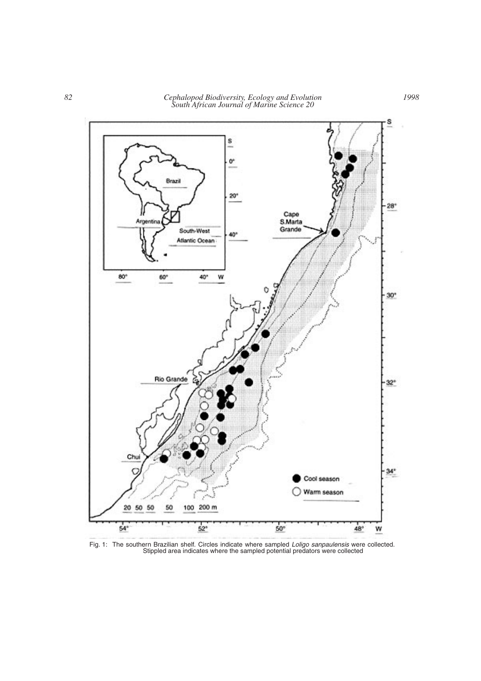*82 Cephalopod Biodiversity, Ecology and Evolution South African Journal of Marine Science 20*



Fig. 1: The southern Brazilian shelf. Circles indicate where sampled *Loligo sanpaulensis* were collected. Stippled area indicates where the sampled potential predators were collected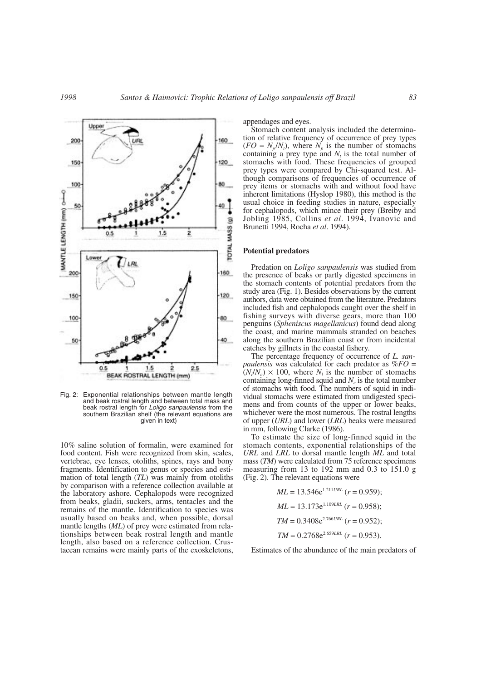200

150

100

50

200

150

100

50

 $0.5$ 

MANTLE LENGTH (mm) OHO

80

40



Fig. 2: Exponential relationships between mantle length and beak rostral length and between total mass and beak rostral length for *Loligo sanpaulensis* from the southern Brazilian shelf (the relevant equations are given in text)

1.5

BEAK ROSTRAL LENGTH (mm)

2

 $2.5$ 

10% saline solution of formalin, were examined for food content. Fish were recognized from skin, scales, vertebrae, eye lenses, otoliths, spines, rays and bony fragments. Identification to genus or species and estimation of total length (*TL*) was mainly from otoliths by comparison with a reference collection available at the laboratory ashore. Cephalopods were recognized from beaks, gladii, suckers, arms, tentacles and the remains of the mantle. Identification to species was usually based on beaks and, when possible, dorsal mantle lengths (*ML*) of prey were estimated from relationships between beak rostral length and mantle length, also based on a reference collection. Crustacean remains were mainly parts of the exoskeletons, appendages and eyes.

Stomach content analysis included the determination of relative frequency of occurrence of prey types  $(FO = N_p/N_t)$ , where  $N_p$  is the number of stomachs containing a prey type and  $N_t$  is the total number of stomachs with food. These frequencies of grouped prey types were compared by Chi-squared test. Although comparisons of frequencies of occurrence of prey items or stomachs with and without food have inherent limitations (Hyslop 1980), this method is the usual choice in feeding studies in nature, especially for cephalopods, which mince their prey (Breiby and Jobling 1985, Collins *et al*. 1994, Ivanovic and Brunetti 1994, Rocha *et al*. 1994).

#### **Potential predators**

Predation on *Loligo sanpaulensis* was studied from the presence of beaks or partly digested specimens in the stomach contents of potential predators from the study area (Fig. 1). Besides observations by the current authors, data were obtained from the literature. Predators included fish and cephalopods caught over the shelf in fishing surveys with diverse gears, more than 100 penguins (*Spheniscus magellanicus*) found dead along the coast, and marine mammals stranded on beaches along the southern Brazilian coast or from incidental catches by gillnets in the coastal fishery.

The percentage frequency of occurrence of *L. sanpaulensis* was calculated for each predator as %*FO* =  $(N/N_c) \times 100$ , where  $N_l$  is the number of stomachs containing long-finned squid and  $N_c$  is the total number of stomachs with food. The numbers of squid in individual stomachs were estimated from undigested specimens and from counts of the upper or lower beaks, whichever were the most numerous. The rostral lengths of upper (*URL*) and lower (*LRL*) beaks were measured in mm, following Clarke (1986).

To estimate the size of long-finned squid in the stomach contents, exponential relationships of the *URL* and *LRL* to dorsal mantle length *ML* and total mass (*TM*) were calculated from 75 reference specimens measuring from 13 to 192 mm and 0.3 to 151.0 g (Fig. 2). The relevant equations were

$$
ML = 13.546e^{1.211URL} (r = 0.959);
$$
  
\n
$$
ML = 13.173e^{1.109LRL} (r = 0.958);
$$
  
\n
$$
TM = 0.3408e^{2.766URL} (r = 0.952);
$$
  
\n
$$
TM = 0.2768e^{2.659LRL} (r = 0.953).
$$

Estimates of the abundance of the main predators of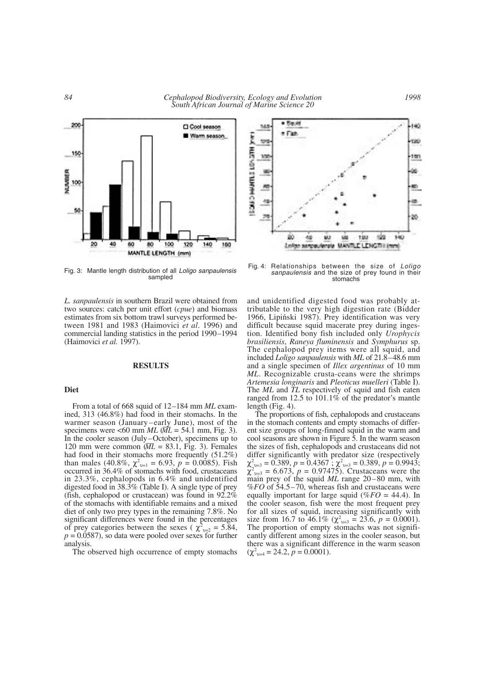

Fig. 3: Mantle length distribution of all *Loligo sanpaulensis* sampled

*L. sanpaulensis* in southern Brazil were obtained from two sources: catch per unit effort (*cpue*) and biomass estimates from six bottom trawl surveys performed between 1981 and 1983 (Haimovici *et al*. 1996) and commercial landing statistics in the period 1990–1994 (Haimovici *et al.* 1997).

### **RESULTS**

### **Diet**

From a total of 668 squid of 12–184 mm *ML* examined, 313 (46.8%) had food in their stomachs. In the warmer season (January–early June), most of the specimens were  $\lt 60$  mm *ML* ( $\overline{ML} = 54.1$  mm, Fig. 3). In the cooler season (July–October), specimens up to In the cooler season (July–October), specimens up to 120 mm were common  $(M\bar{L} = 83.1, \text{ Fig. 3})$ . Females had food in their stomachs more frequently (51.2%) than males (40.8%,  $\chi^2_{\text{v=1}} = 6.93$ ,  $p = 0.0085$ ). Fish occurred in 36.4% of stomachs with food, crustaceans in 23.3%, cephalopods in 6.4% and unidentified digested food in 38.3% (Table I). A single type of prey (fish, cephalopod or crustacean) was found in 92.2% of the stomachs with identifiable remains and a mixed diet of only two prey types in the remaining 7.8%. No significant differences were found in the percentages of prey categories between the sexes ( $\chi^2_{v=2} = 5.84$ ,  $p = 0.0587$ , so data were pooled over sexes for further analysis.

The observed high occurrence of empty stomachs



Fig. 4: Relationships between the size of *Loligo sanpaulensis* and the size of prey found in their stomachs

and unidentified digested food was probably attributable to the very high digestion rate (Bidder 1966, Lipiński 1987). Prey identification was very difficult because squid macerate prey during ingestion. Identified bony fish included only *Urophycis brasiliensis*, *Raneya fluminensis* and *Symphurus* sp. The cephalopod prey items were all squid, and included *Loligo sanpaulensis* with *ML* of 21.8–48.6 mm and a single specimen of *Illex argentinus* of 10 mm *ML*. Recognizable crusta-ceans were the shrimps *Artemesia longinaris* and *Pleoticus muelleri* (Table I). The *ML* and *TL* respectively of squid and fish eaten ranged from 12.5 to 101.1% of the predator's mantle length (Fig. 4).

The proportions of fish, cephalopods and crustaceans in the stomach contents and empty stomachs of different size groups of long-finned squid in the warm and cool seasons are shown in Figure 5. In the warm season the sizes of fish, cephalopods and crustaceans did not differ significantly with predator size (respectively  $\chi^2_{\nu=3} = 0.389, p = 0.4367$ ;  $\chi^2_{\nu=3} = 0.389, p = 0.9943$ ;  $\chi^2_{v=3}$  = 6.673,  $p = 0.97475$ ). Crustaceans were the main prey of the squid *ML* range 20–80 mm, with %*FO* of 54.5–70, whereas fish and crustaceans were equally important for large squid (%*FO* = 44.4). In the cooler season, fish were the most frequent prey for all sizes of squid, increasing significantly with size from 16.7 to 46.1%  $(\chi^2_{v=3} = 23.6, p = 0.0001)$ . The proportion of empty stomachs was not significantly different among sizes in the cooler season, but there was a significant difference in the warm season  $(\chi^2_{\nu=4} = 24.2, p = 0.0001).$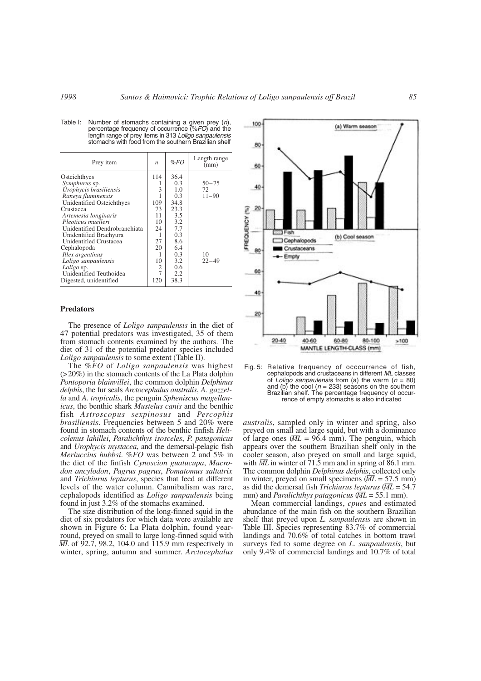| Prey item                     | $\boldsymbol{n}$ | %FO  | Length range<br>(mm) |
|-------------------------------|------------------|------|----------------------|
| Osteichthyes                  | 114              | 36.4 |                      |
| Symphurus sp.                 |                  | 0.3  | $50 - 75$            |
| Urophycis brasiliensis        | 3                | 1.0  | 72                   |
| Raneya fluminensis            |                  | 0.3  | $11 - 90$            |
| Unidentified Osteichthyes     | 109              | 34.8 |                      |
| Crustacea                     | 73               | 23.3 |                      |
| Artemesia longinaris          | 11               | 3.5  |                      |
| Pleoticus muelleri            | 10               | 3.2  |                      |
| Unidentified Dendrobranchiata | 24               | 7.7  |                      |
| Unidentified Brachyura        |                  | 0.3  |                      |
| <b>Unidentified Crustacea</b> | 27               | 8.6  |                      |
| Cephalopoda                   | 20               | 6.4  |                      |
| Illex argentinus              |                  | 0.3  | 10                   |
| Loligo sanpaulensis           | 10               | 3.2  | $22 - 49$            |
| Loligo sp.                    | 2                | 0.6  |                      |
| Unidentified Teuthoidea       | 7                | 2.2  |                      |
| Digested, unidentified        | 120              | 38.3 |                      |

Table I: Number of stomachs containing a given prey (*n*), percentage frequency of occurrence (%*FO*) and the length range of prey items in 313 *Loligo sanpaulensis* stomachs with food from the southern Brazilian shelf

#### **Predators**

The presence of *Loligo sanpaulensis* in the diet of 47 potential predators was investigated, 35 of them from stomach contents examined by the authors. The diet of 31 of the potential predator species included *Loligo sanpaulensis* to some extent (Table II).

The %*FO* of *Loligo sanpaulensis* was highest (>20%) in the stomach contents of the La Plata dolphin *Pontoporia blainvillei*, the common dolphin *Delphinus delphis*, the fur seals *Arctocephalus australis*, *A. gazzella* and *A. tropicalis*, the penguin *Spheniscus magellanicus*, the benthic shark *Mustelus canis* and the benthic fish *Astroscopus sexpinosus* and *Percophis brasiliensis*. Frequencies between 5 and 20% were found in stomach contents of the benthic finfish *Helicolenus lahillei*, *Paralichthys isosceles*, *P. patagonicus* and *Urophycis mystacea*, and the demersal-pelagic fish *Merluccius hubbsi*. %*FO* was between 2 and 5% in the diet of the finfish *Cynoscion guatucupa*, *Macrodon ancylodon*, *Pagrus pagrus*, *Pomatomus saltatrix* and *Trichiurus lepturus*, species that feed at different levels of the water column. Cannibalism was rare, cephalopods identified as *Loligo sanpaulensis* being found in just 3.2% of the stomachs examined.

The size distribution of the long-finned squid in the diet of six predators for which data were available are shown in Figure 6: La Plata dolphin, found yearround, preyed on small to large long-finned squid with  $\overline{ML}$  of 92.7, 98.2, 104.0 and 115.9 mm respectively in winter, spring, autumn and summer. *Arctocephalus*



Fig. 5: Relative frequency of occcurrence of fish, cephalopods and crustaceans in different *ML* classes of *Loligo sanpaulensis* from (a) the warm (*n* = 80) and (b) the cool ( $n = 233$ ) seasons on the southern Brazilian shelf. The percentage frequency of occurrence of empty stomachs is also indicated

*australis*, sampled only in winter and spring, also preyed on small and large squid, but with a dominance preyed on small and large squid, but with a dominance of large ones  $(M\bar{L} = 96.4 \text{ mm})$ . The penguin, which appears over the southern Brazilian shelf only in the cooler season, also preyed on small and large squid, cooler season, also preyed on small and large squid, with  $\overline{ML}$  in winter of 71.5 mm and in spring of 86.1 mm. The common dolphin *Delphinus delphis*, collected only The common dolphin *Delphinus delphis*, collected only<br>in winter, preyed on small specimens ( $\overline{ML} = 57.5$  mm) as did the demersal fish *Trichiurus lepturus* ( *ML* = 54.7 \_\_ mm) and *Paralichthys patagonicus* ( *ML* = 55.1 mm).

Mean commercial landings, *cpue*s and estimated abundance of the main fish on the southern Brazilian shelf that preyed upon *L. sanpaulensis* are shown in Table III. Species representing 83.7% of commercial landings and 70.6% of total catches in bottom trawl surveys fed to some degree on *L. sanpaulensis*, but only 9.4% of commercial landings and 10.7% of total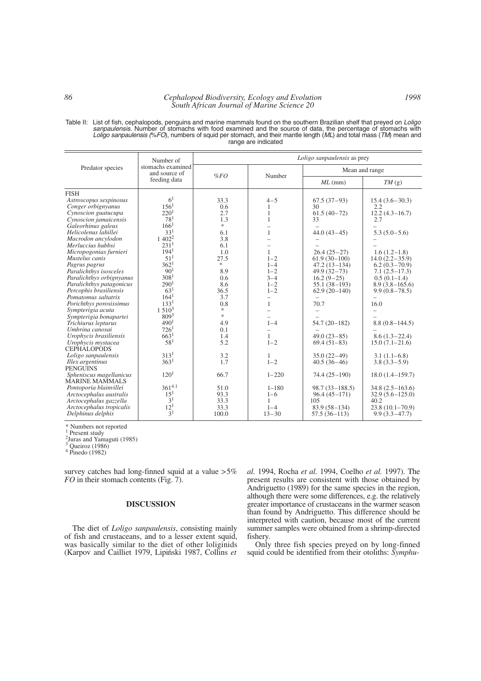### *86 Cephalopod Biodiversity, Ecology and Evolution South African Journal of Marine Science 20*

Table II: List of fish, cephalopods, penguins and marine mammals found on the southern Brazilian shelf that preyed on *Loligo sanpaulensis*. Number of stomachs with food examined and the source of data, the percentage of stomachs with *Loligo sanpaulensis (*%*FO*), numbers of squid per stomach, and their mantle length (*ML*) and total mass (*TM*) mean and range are indicated

| Predator species<br>Mean and range<br>and source of<br>Number<br>%FO<br>feeding data<br>$ML$ (mm)<br>TM(g)<br><b>FISH</b><br>6 <sup>1</sup><br>33.3<br>$4 - 5$<br>Astroscopus sexpinosus<br>$67.5(37-93)$<br>$15.4(3.6-30.3)$<br>156 <sup>1</sup><br>Conger orbignyanus<br>0.6<br>30<br>2.2<br>1<br>220 <sup>1</sup><br>Cynoscion guatucupa<br>2.7<br>$61.5(40-72)$<br>$12.2(4.3 - 16.7)$<br>1<br>78 <sup>1</sup><br>Cynoscion jamaicensis<br>1.3<br>33<br>2.7<br>166 <sup>1</sup><br>*<br>Galeorhinus galeus<br>33 <sup>1</sup><br>Helicolenus lahillei<br>6.1<br>$44.0(43-45)$<br>1<br>$5.3(5.0-5.6)$<br>$1\ 402^2$<br>3.8<br>Macrodon ancylodon<br>231 <sup>1</sup><br>Merluccius hubbsi<br>6.1<br>194 <sup>1</sup><br>Micropogonias furnieri<br>1.0<br>$26.4(25-27)$<br>1<br>$1.6(1.2-1.8)$<br>51 <sup>1</sup><br>Mustelus canis<br>27.5<br>$1 - 2$<br>$61.9(30-100)$<br>$14.0(2.2 - 35.9)$<br>362 <sup>1</sup><br>*.<br>Pagrus pagrus<br>$1 - 4$<br>$47.2(13-134)$<br>$6.2(0.3-70.9)$ |                        | Number of<br>stomachs examined | Loligo sanpaulensis as prey |         |                 |                   |  |
|--------------------------------------------------------------------------------------------------------------------------------------------------------------------------------------------------------------------------------------------------------------------------------------------------------------------------------------------------------------------------------------------------------------------------------------------------------------------------------------------------------------------------------------------------------------------------------------------------------------------------------------------------------------------------------------------------------------------------------------------------------------------------------------------------------------------------------------------------------------------------------------------------------------------------------------------------------------------------------------------|------------------------|--------------------------------|-----------------------------|---------|-----------------|-------------------|--|
|                                                                                                                                                                                                                                                                                                                                                                                                                                                                                                                                                                                                                                                                                                                                                                                                                                                                                                                                                                                            |                        |                                |                             |         |                 |                   |  |
|                                                                                                                                                                                                                                                                                                                                                                                                                                                                                                                                                                                                                                                                                                                                                                                                                                                                                                                                                                                            |                        |                                |                             |         |                 |                   |  |
|                                                                                                                                                                                                                                                                                                                                                                                                                                                                                                                                                                                                                                                                                                                                                                                                                                                                                                                                                                                            |                        |                                |                             |         |                 |                   |  |
|                                                                                                                                                                                                                                                                                                                                                                                                                                                                                                                                                                                                                                                                                                                                                                                                                                                                                                                                                                                            |                        |                                |                             |         |                 |                   |  |
|                                                                                                                                                                                                                                                                                                                                                                                                                                                                                                                                                                                                                                                                                                                                                                                                                                                                                                                                                                                            |                        |                                |                             |         |                 |                   |  |
|                                                                                                                                                                                                                                                                                                                                                                                                                                                                                                                                                                                                                                                                                                                                                                                                                                                                                                                                                                                            |                        |                                |                             |         |                 |                   |  |
|                                                                                                                                                                                                                                                                                                                                                                                                                                                                                                                                                                                                                                                                                                                                                                                                                                                                                                                                                                                            |                        |                                |                             |         |                 |                   |  |
|                                                                                                                                                                                                                                                                                                                                                                                                                                                                                                                                                                                                                                                                                                                                                                                                                                                                                                                                                                                            |                        |                                |                             |         |                 |                   |  |
|                                                                                                                                                                                                                                                                                                                                                                                                                                                                                                                                                                                                                                                                                                                                                                                                                                                                                                                                                                                            |                        |                                |                             |         |                 |                   |  |
|                                                                                                                                                                                                                                                                                                                                                                                                                                                                                                                                                                                                                                                                                                                                                                                                                                                                                                                                                                                            |                        |                                |                             |         |                 |                   |  |
|                                                                                                                                                                                                                                                                                                                                                                                                                                                                                                                                                                                                                                                                                                                                                                                                                                                                                                                                                                                            |                        |                                |                             |         |                 |                   |  |
|                                                                                                                                                                                                                                                                                                                                                                                                                                                                                                                                                                                                                                                                                                                                                                                                                                                                                                                                                                                            |                        |                                |                             |         |                 |                   |  |
|                                                                                                                                                                                                                                                                                                                                                                                                                                                                                                                                                                                                                                                                                                                                                                                                                                                                                                                                                                                            |                        |                                |                             |         |                 |                   |  |
|                                                                                                                                                                                                                                                                                                                                                                                                                                                                                                                                                                                                                                                                                                                                                                                                                                                                                                                                                                                            |                        |                                |                             |         |                 |                   |  |
|                                                                                                                                                                                                                                                                                                                                                                                                                                                                                                                                                                                                                                                                                                                                                                                                                                                                                                                                                                                            | Paralichthys isosceles | 90 <sup>1</sup>                | 8.9                         | $1 - 2$ | $49.9(32 - 73)$ | $7.1(2.5 - 17.3)$ |  |
| 308 <sup>1</sup><br>Paralichthys orbignyanus<br>$3 - 4$<br>0.6<br>$16.2(9-25)$<br>$0.5(0.1-1.4)$                                                                                                                                                                                                                                                                                                                                                                                                                                                                                                                                                                                                                                                                                                                                                                                                                                                                                           |                        |                                |                             |         |                 |                   |  |
| 290 <sup>1</sup><br>8.6<br>Paralichthys patagonicus<br>$1 - 2$<br>$8.9(3.8-165.6)$<br>$55.1(38-193)$                                                                                                                                                                                                                                                                                                                                                                                                                                                                                                                                                                                                                                                                                                                                                                                                                                                                                       |                        |                                |                             |         |                 |                   |  |
| 63 <sup>1</sup><br>Percophis brasiliensis<br>36.5<br>$1 - 2$<br>$62.9(20-140)$<br>$9.9(0.8 - 78.5)$                                                                                                                                                                                                                                                                                                                                                                                                                                                                                                                                                                                                                                                                                                                                                                                                                                                                                        |                        |                                |                             |         |                 |                   |  |
| 164 <sup>1</sup><br>Pomatomus saltatrix<br>3.7<br>$\overline{\phantom{0}}$                                                                                                                                                                                                                                                                                                                                                                                                                                                                                                                                                                                                                                                                                                                                                                                                                                                                                                                 |                        |                                |                             |         |                 |                   |  |
| 133 <sup>1</sup><br>16.0<br>0.8<br>$\mathbf{1}$<br>70.7<br>Porichthys porosissimus                                                                                                                                                                                                                                                                                                                                                                                                                                                                                                                                                                                                                                                                                                                                                                                                                                                                                                         |                        |                                |                             |         |                 |                   |  |
| $1510^3$<br>$*$<br>Sympterigia acuta                                                                                                                                                                                                                                                                                                                                                                                                                                                                                                                                                                                                                                                                                                                                                                                                                                                                                                                                                       |                        |                                |                             |         |                 |                   |  |
| 809 <sup>3</sup><br>$\frac{1}{2}$<br>Sympterigia bonapartei                                                                                                                                                                                                                                                                                                                                                                                                                                                                                                                                                                                                                                                                                                                                                                                                                                                                                                                                |                        |                                |                             |         |                 |                   |  |
| 490 <sup>1</sup><br>$1 - 4$<br>Trichiurus lepturus<br>4.9<br>$54.7(20-182)$<br>$8.8(0.8 - 144.5)$                                                                                                                                                                                                                                                                                                                                                                                                                                                                                                                                                                                                                                                                                                                                                                                                                                                                                          |                        |                                |                             |         |                 |                   |  |
| 726 <sup>1</sup><br>Umbrina canosai<br>0.1                                                                                                                                                                                                                                                                                                                                                                                                                                                                                                                                                                                                                                                                                                                                                                                                                                                                                                                                                 |                        |                                |                             |         |                 |                   |  |
| 663 <sup>1</sup><br>Urophycis brasiliensis<br>$49.0(23-85)$<br>1.4<br>1<br>$8.6(1.3-22.4)$                                                                                                                                                                                                                                                                                                                                                                                                                                                                                                                                                                                                                                                                                                                                                                                                                                                                                                 |                        |                                |                             |         |                 |                   |  |
| 58 <sup>1</sup><br>5.2<br>$1 - 2$<br>Urophycis mystacea<br>$15.0(7.1-21.6)$<br>$69.4(51-83)$                                                                                                                                                                                                                                                                                                                                                                                                                                                                                                                                                                                                                                                                                                                                                                                                                                                                                               |                        |                                |                             |         |                 |                   |  |
| <b>CEPHALOPODS</b>                                                                                                                                                                                                                                                                                                                                                                                                                                                                                                                                                                                                                                                                                                                                                                                                                                                                                                                                                                         |                        |                                |                             |         |                 |                   |  |
| 313 <sup>1</sup><br>3.2<br>Loligo sanpaulensis<br>$35.0(22-49)$<br>$3.1(1.1-6.8)$<br>1                                                                                                                                                                                                                                                                                                                                                                                                                                                                                                                                                                                                                                                                                                                                                                                                                                                                                                     |                        |                                |                             |         |                 |                   |  |
| 363 <sup>1</sup><br>$1 - 2$<br>1.7<br>$40.5(36-46)$<br>$3.8(3.3-5.9)$<br>Illex argentinus                                                                                                                                                                                                                                                                                                                                                                                                                                                                                                                                                                                                                                                                                                                                                                                                                                                                                                  |                        |                                |                             |         |                 |                   |  |
| <b>PENGUINS</b>                                                                                                                                                                                                                                                                                                                                                                                                                                                                                                                                                                                                                                                                                                                                                                                                                                                                                                                                                                            |                        |                                |                             |         |                 |                   |  |
| 120 <sup>1</sup><br>66.7<br>$1 - 220$<br>Spheniscus magellanicus<br>$18.0(1.4 - 159.7)$<br>$74.4(25-190)$                                                                                                                                                                                                                                                                                                                                                                                                                                                                                                                                                                                                                                                                                                                                                                                                                                                                                  |                        |                                |                             |         |                 |                   |  |
| <b>MARINE MAMMALS</b>                                                                                                                                                                                                                                                                                                                                                                                                                                                                                                                                                                                                                                                                                                                                                                                                                                                                                                                                                                      |                        |                                |                             |         |                 |                   |  |
| $361^{4.1}$<br>Pontoporia blainvillei<br>51.0<br>$1 - 180$<br>$98.7(33 - 188.5)$<br>$34.8(2.5 - 163.6)$                                                                                                                                                                                                                                                                                                                                                                                                                                                                                                                                                                                                                                                                                                                                                                                                                                                                                    |                        |                                |                             |         |                 |                   |  |
| $15^{1}$<br>Arctocephalus australis<br>93.3<br>$1 - 6$<br>$96.4(45-171)$<br>$32.9(5.6 - 125.0)$                                                                                                                                                                                                                                                                                                                                                                                                                                                                                                                                                                                                                                                                                                                                                                                                                                                                                            |                        |                                |                             |         |                 |                   |  |
| 3 <sup>1</sup><br>33.3<br>Arctocephalus gazzella<br>1<br>105<br>40.2                                                                                                                                                                                                                                                                                                                                                                                                                                                                                                                                                                                                                                                                                                                                                                                                                                                                                                                       |                        |                                |                             |         |                 |                   |  |
| $12^{1}$<br>Arctocephalus tropicalis<br>33.3<br>$1 - 4$<br>$83.9(58-134)$<br>$23.8(10.1-70.9)$                                                                                                                                                                                                                                                                                                                                                                                                                                                                                                                                                                                                                                                                                                                                                                                                                                                                                             |                        |                                |                             |         |                 |                   |  |
| 3 <sup>1</sup><br>Delphinus delphis<br>$13 - 30$<br>100.0<br>$57.5(36-113)$<br>$9.9(3.3 - 47.7)$                                                                                                                                                                                                                                                                                                                                                                                                                                                                                                                                                                                                                                                                                                                                                                                                                                                                                           |                        |                                |                             |         |                 |                   |  |

\* Numbers not reported

<sup>1</sup> Present study

2Juras and Yamaguti (1985)

<sup>3</sup> Queiroz (1986)

<sup>4</sup> Pinedo (1982)

survey catches had long-finned squid at a value  $>5\%$ *FO* in their stomach contents (Fig. 7).

# **DISCUSSION**

The diet of *Loligo sanpaulensis*, consisting mainly of fish and crustaceans, and to a lesser extent squid, was basically similar to the diet of other loliginids (Karpov and Cailliet 1979, Lipiński 1987, Collins et

*al.* 1994, Rocha *et al.* 1994, Coelho *et al.* 1997). The present results are consistent with those obtained by Andriguetto (1989) for the same species in the region, although there were some differences, e.g. the relatively greater importance of crustaceans in the warmer season than found by Andriguetto. This difference should be interpreted with caution, because most of the current summer samples were obtained from a shrimp-directed fishery.

Only three fish species preyed on by long-finned squid could be identified from their otoliths: *Symphu-*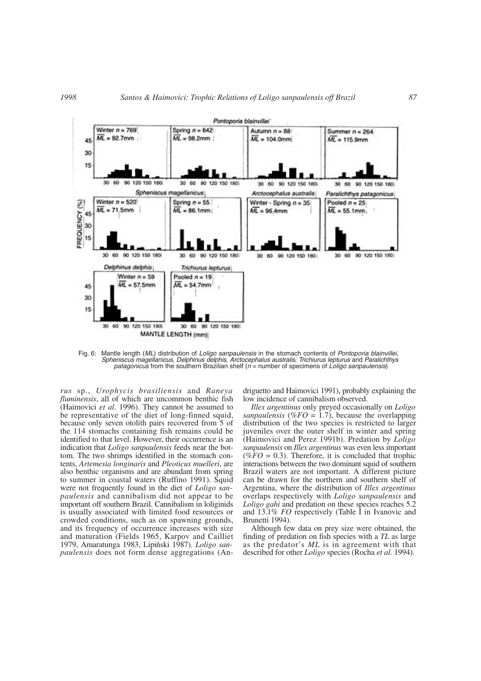

Fig. 6: Mantle length (*ML*) distribution of *Loligo sanpaulensis* in the stomach contents of *Pontoporia blainvillei*, *Spheniscus magellanicus*, *Delphinus delphis*, *Arctocephalus australis, Trichiurus lepturus* and *Paralichthys patagonicus* from the southern Brazilian shelf (*n* = number of specimens of *Loligo sanpaulensis*)

*rus* sp., *Urophycis brasiliensis* and *Raneya fluminensis*, all of which are uncommon benthic fish (Haimovici *et al*. 1996). They cannot be assumed to be representative of the diet of long-finned squid, because only seven otolith pairs recovered from 5 of the 114 stomachs containing fish remains could be identified to that level. However, their occurrence is an indication that *Loligo sanpaulensis* feeds near the bottom. The two shrimps identified in the stomach contents, *Artemesia longinaris* and *Pleoticus muelleri*, are also benthic organisms and are abundant from spring to summer in coastal waters (Ruffino 1991). Squid were not frequently found in the diet of *Loligo sanpaulensis* and cannibalism did not appear to be important off southern Brazil. Cannibalism in loliginids is usually associated with limited food resources or crowded conditions, such as on spawning grounds, and its frequency of occurrence increases with size and maturation (Fields 1965, Karpov and Cailliet 1979, Amaratunga 1983, Lipiński 1987). *Loligo sanpaulensis* does not form dense aggregations (Andriguetto and Haimovici 1991), probably explaining the low incidence of cannibalism observed.

*Illex argentinus* only preyed occasionally on *Loligo sanpaulensis* ( $%FO = 1.7$ ), because the overlapping distribution of the two species is restricted to larger juveniles over the outer shelf in winter and spring (Haimovici and Perez 1991b). Predation by *Loligo sanpaulensis* on *Illex argentinus* was even less important ( $%FO = 0.3$ ). Therefore, it is concluded that trophic interactions between the two dominant squid of southern Brazil waters are not important. A different picture can be drawn for the northern and southern shelf of Argentina, where the distribution of *Illex argentinus* overlaps respectively with *Loligo sanpaulensis* and *Loligo gahi* and predation on these species reaches 5.2 and 13.1% *FO* respectively (Table I in Ivanovic and Brunetti 1994).

Although few data on prey size were obtained, the finding of predation on fish species with a *TL* as large as the predator's *ML* is in agreement with that described for other *Loligo* species (Rocha *et al*. 1994).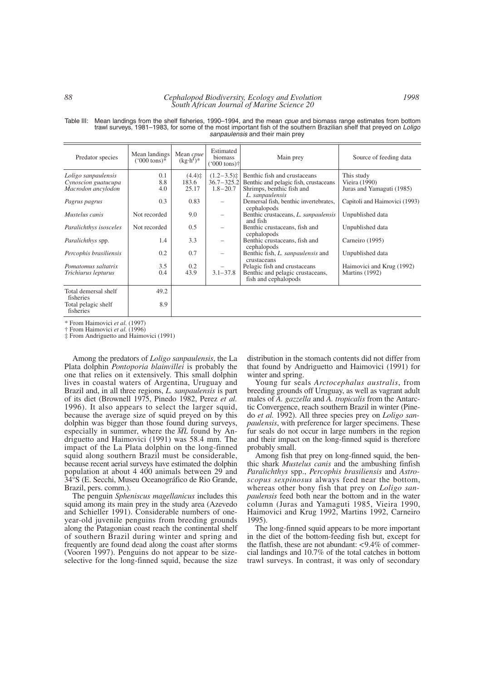#### *88 Cephalopod Biodiversity, Ecology and Evolution South African Journal of Marine Science 20*

| Predator species                 | Mean landings<br>$(000 \text{ tons})^*$ | Mean cpue<br>$(kg \cdot h^{T})^*$ | Estimated<br>biomass<br>$('000 tons)$ † | Main prey                                | Source of feeding data        |
|----------------------------------|-----------------------------------------|-----------------------------------|-----------------------------------------|------------------------------------------|-------------------------------|
| Loligo sanpaulensis              | 0.1                                     | $(4.4)$ $\ddagger$                | $(1.2-3.5)\ddagger$                     | Benthic fish and crustaceans             | This study                    |
| Cynoscion guatucupa              | 8.8                                     | 183.6                             | $36.7 - 325.2$                          | Benthic and pelagic fish, crustaceans    | Vieira (1990)                 |
| Macrodon ancylodon               | 4.0                                     | 25.17                             | $1.8 - 20.7$                            | Shrimps, benthic fish and                | Juras and Yamaguti (1985)     |
|                                  |                                         |                                   |                                         | L. sanpaulensis                          |                               |
|                                  | 0.3                                     | 0.83                              |                                         | Demersal fish, benthic invertebrates,    | Capitoli and Haimovici (1993) |
| Pagrus pagrus                    |                                         |                                   |                                         | cephalopods                              |                               |
| Mustelus canis                   | Not recorded                            | 9.0                               |                                         | Benthic crustaceans, L. sanpaulensis     |                               |
|                                  |                                         |                                   |                                         | and fish                                 | Unpublished data              |
| Paralichthys isosceles           | Not recorded                            | 0.5                               |                                         | Benthic crustaceans, fish and            | Unpublished data              |
|                                  |                                         |                                   |                                         |                                          |                               |
|                                  | 1.4                                     | 3.3                               |                                         | cephalopods                              |                               |
| <i>Paralichthys spp.</i>         |                                         |                                   |                                         | Benthic crustaceans, fish and            | Carneiro (1995)               |
|                                  | 0.2                                     | 0.7                               |                                         | cephalopods                              |                               |
| Percophis brasiliensis           |                                         |                                   |                                         | Benthic fish, <i>L. sanpaulensis</i> and | Unpublished data              |
|                                  |                                         |                                   |                                         | crustaceans                              |                               |
| Pomatomus saltatrix              | 3.5                                     | 0.2                               |                                         | Pelagic fish and crustaceans             | Haimovici and Krug (1992)     |
| Trichiurus lepturus              | 0.4                                     | 43.9                              | $3.1 - 37.8$                            | Benthic and pelagic crustaceans,         | <b>Martins</b> (1992)         |
|                                  |                                         |                                   |                                         | fish and cephalopods                     |                               |
| Total demersal shelf             | 49.2                                    |                                   |                                         |                                          |                               |
| fisheries                        |                                         |                                   |                                         |                                          |                               |
|                                  | 8.9                                     |                                   |                                         |                                          |                               |
| Total pelagic shelf<br>fisheries |                                         |                                   |                                         |                                          |                               |
|                                  |                                         |                                   |                                         |                                          |                               |

Table III: Mean landings from the shelf fisheries, 1990–1994, and the mean *cpue* and biomass range estimates from bottom trawl surveys, 1981–1983, for some of the most important fish of the southern Brazilian shelf that preyed on *Loligo sanpaulensis* and their main prey

\* From Haimovici *et al.* (1997)

† From Haimovici *et al.* (1996)

‡ From Andriguetto and Haimovici (1991)

Among the predators of *Loligo sanpaulensis*, the La Plata dolphin *Pontoporia blainvillei* is probably the one that relies on it extensively. This small dolphin lives in coastal waters of Argentina, Uruguay and Brazil and, in all three regions, *L. sanpaulensis* is part of its diet (Brownell 1975, Pinedo 1982, Perez *et al.* 1996). It also appears to select the larger squid, because the average size of squid preyed on by this dolphin was bigger than those found during surveys, dolphin was bigger than those found during surveys,<br>especially in summer, where the  $\overline{ML}$  found by Andriguetto and Haimovici (1991) was 58.4 mm. The impact of the La Plata dolphin on the long-finned squid along southern Brazil must be considerable, because recent aerial surveys have estimated the dolphin population at about 4 400 animals between 29 and 34°S (E. Secchi, Museu Oceanográfico de Rio Grande, Brazil, pers. comm.).

The penguin *Spheniscus magellanicus* includes this squid among its main prey in the study area (Azevedo and Schieller 1991). Considerable numbers of oneyear-old juvenile penguins from breeding grounds along the Patagonian coast reach the continental shelf of southern Brazil during winter and spring and frequently are found dead along the coast after storms (Vooren 1997). Penguins do not appear to be sizeselective for the long-finned squid, because the size

distribution in the stomach contents did not differ from that found by Andriguetto and Haimovici (1991) for winter and spring.

Young fur seals *Arctocephalus australis*, from breeding grounds off Uruguay, as well as vagrant adult males of *A. gazzella* and *A. tropicalis* from the Antarctic Convergence, reach southern Brazil in winter (Pinedo *et al.* 1992). All three species prey on *Loligo sanpaulensis*, with preference for larger specimens. These fur seals do not occur in large numbers in the region and their impact on the long-finned squid is therefore probably small.

Among fish that prey on long-finned squid, the benthic shark *Mustelus canis* and the ambushing finfish *Paralichthys* spp., *Percophis brasiliensis* and *Astroscopus sexpinosus* always feed near the bottom, whereas other bony fish that prey on *Loligo sanpaulensis* feed both near the bottom and in the water column (Juras and Yamaguti 1985, Vieira 1990, Haimovici and Krug 1992, Martins 1992, Carneiro 1995).

The long-finned squid appears to be more important in the diet of the bottom-feeding fish but, except for the flatfish, these are not abundant:  $\langle 9.4\% \rangle$  of commercial landings and 10.7% of the total catches in bottom trawl surveys. In contrast, it was only of secondary

*1998*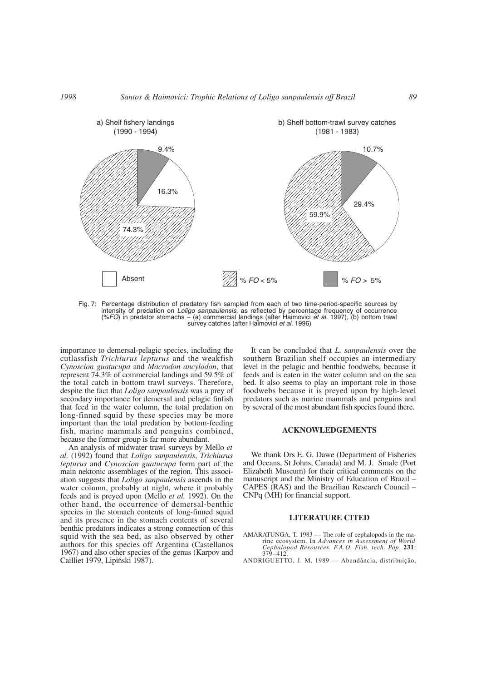

Fig. 7: Percentage distribution of predatory fish sampled from each of two time-period-specific sources by intensity of predation on *Loligo sanpaulensis,* as reflected by percentage frequency of occurrence (%*FO*) in predator stomachs – (a) commercial landings (after Haimovici *et al.* 1997), (b) bottom trawl survey catches (after Haimovici *et al.* 1996)

importance to demersal-pelagic species, including the cutlassfish *Trichiurus lepturus* and the weakfish *Cynoscion guatucupa* and *Macrodon ancylodon*, that represent 74.3% of commercial landings and 59.5% of the total catch in bottom trawl surveys. Therefore, despite the fact that *Loligo sanpaulensis* was a prey of secondary importance for demersal and pelagic finfish that feed in the water column, the total predation on long-finned squid by these species may be more important than the total predation by bottom-feeding fish, marine mammals and penguins combined, because the former group is far more abundant.

An analysis of midwater trawl surveys by Mello *et al.* (1992) found that *Loligo sanpaulensis*, *Trichiurus lepturus* and *Cynoscion guatucupa* form part of the main nektonic assemblages of the region. This association suggests that *Loligo sanpaulensis* ascends in the water column, probably at night, where it probably feeds and is preyed upon (Mello *et al.* 1992). On the other hand, the occurrence of demersal-benthic species in the stomach contents of long-finned squid and its presence in the stomach contents of several benthic predators indicates a strong connection of this squid with the sea bed, as also observed by other authors for this species off Argentina (Castellanos 1967) and also other species of the genus (Karpov and Cailliet 1979, Lipiński 1987).

It can be concluded that *L. sanpaulensis* over the southern Brazilian shelf occupies an intermediary level in the pelagic and benthic foodwebs, because it feeds and is eaten in the water column and on the sea bed. It also seems to play an important role in those foodwebs because it is preyed upon by high-level predators such as marine mammals and penguins and by several of the most abundant fish species found there.

### **ACKNOWLEDGEMENTS**

We thank Drs E. G. Dawe (Department of Fisheries and Oceans, St Johns, Canada) and M. J. Smale (Port Elizabeth Museum) for their critical comments on the manuscript and the Ministry of Education of Brazil – CAPES (RAS) and the Brazilian Research Council – CNPq (MH) for financial support.

### **LITERATURE CITED**

- AMARATUNGA, T. 1983 The role of cephalopods in the marine ecosystem. In *Advances in Assessment of World Cephalopod Resources. F.A.O. Fish. tech. Pap*. **231**: 379–412.
- ANDRIGUETTO, J. M. 1989 Abundância, distribuição,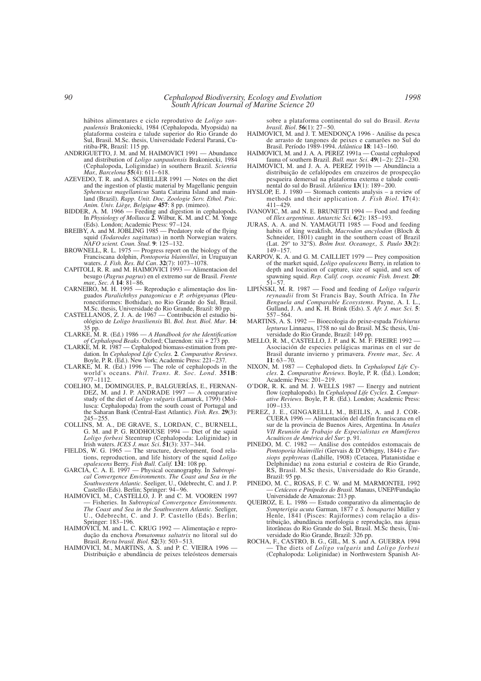hábitos alimentares e ciclo reprodutivo de *Loligo sanpaulensis* Brakoniecki, 1984 (Cephalopoda, Myopsida) na plataforma costeira e talude superior do Rio Grande do Sul, Brasil. M.Sc. thesis, Universidade Federal Paraná, Curitiba-PR, Brazil: 115 pp.

- ANDRIGUETTO, J. M. and M. HAIMOVICI 1991 Abundance and distribution of *Loligo sanpaulensis* Brakoniecki, 1984 (Cephalopoda, Loliginidae) in southern Brazil. *Scientia Mar., Barcelona* **55**(4): 611–618.
- AZEVEDO, T. R. and A. SCHIELLER 1991 Notes on the diet and the ingestion of plastic material by Magellanic penguin *Spheniscus magellanicus* Santa Catarina Island and mainland (Brazil). *Rapp. Unit. Doc. Zoologie Serv. Ethol. Psic. Anim. Univ. Liège, Belgique* **457**: 8 pp. (mimeo).
- BIDDER, A. M. 1966 Feeding and digestion in cephalopods. In *Physiology of Mollusca* **2**. Wilbur, K. M. and C. M. Yonge (Eds). London; Academic Press: 97–124.
- BREIBY, A. and M. JOBLING 1985 Predatory role of the flying squid (*Todarodes sagittatus*) in north Norwegian waters. *NAFO scient. Coun. Stud*. **9**: 125–132.
- BROWNELL, R. L. 1975 Progress report on the biology of the Franciscana dolphin, *Pontoporia blainvillei*, in Uruguayan waters. *J. Fish. Res. Bd Can*. **32**(7): 1073–1078.
- CAPITOLI, R. R. and M. HAIMOVICI 1993 Alimentacion del besugo (*Pagrus pagrus*) en el extremo sur de Brasil. *Frente mar., Sec. A* **14**: 81–86.
- CARNEIRO, M. H. 1995 Reprodução e alimentação dos linguados *Paralichthys patagonicus* e *P. orbignyanus* (Pleuronectiformes: Bothidae), no Rio Grande do Sul, Brasil. M.Sc. thesis, Universidade do Rio Grande, Brazil: 80 pp.
- CASTELLANOS, Z. J. A. de 1967 Contribución el estudio biológico de *Loligo brasiliensis* Bl. *Bol. Inst. Biol. Mar*. **14**: 35 pp.
- CLARKE, M. R. (Ed.) 1986 *A Handbook for the Identification of Cephalopod Beaks*. Oxford; Clarendon: xiii + 273 pp.
- CLARKE, M. R. 1987 Cephalopod biomass-estimation from predation. In *Cephalopod Life Cycles*. **2**. *Comparative Reviews*. Boyle, P. R. (Ed.). New York; Academic Press: 221–237.
- CLARKE, M. R. (Ed.) 1996 The role of cephalopods in the world's oceans*. Phil. Trans. R. Soc. Lond*. **351B**: 977–1112.
- COELHO, M., DOMINGUES, P., BALGUERÍAS, E., FERNAN-DEZ, M. and J. P. ANDRADE 1997 — A comparative study of the diet of *Loligo vulgaris* (Lamarck, 1799) (Mollusca: Cephalopoda) from the south coast of Portugal and the Saharan Bank (Central-East Atlantic). *Fish. Res*. **29**(3):  $245 - 255$ .
- COLLINS, M. A., DE GRAVE, S., LORDAN, C., BURNELL, G. M. and P. G. RODHOUSE 1994 — Diet of the squid *Loligo forbesi* Steentrup (Cephalopoda: Loliginidae) in Irish waters. *ICES J. mar. Sci*. **51**(3): 337–344.
- FIELDS, W. G. 1965 The structure, development, food relations, reproduction, and life history of the squid *Loligo opalescens* Berry. *Fish Bull. Calif.* **131**: 108 pp.
- GARCIA, C. A. E. 1997 Physical oceanography. In *Subtropical Convergence Environments*. *The Coast and Sea in the Southwestern Atlantic*. Seeliger, U., Odebrecht, C. and J. P. Castello (Eds). Berlin; Springer: 94–96.
- HAIMOVICI, M., CASTELLO, J. P. and C. M. VOOREN 1997 — Fisheries. In *Subtropical Convergence Environments. The Coast and Sea in the Southwestern Atlantic*. Seeliger, U., Odebrecht, C. and J. P. Castello (Eds). Berlin; Springer: 183–196.
- HAIMOVICI, M. and L. C. KRUG 1992 Alimentação e reprodução da enchova *Pomatomus saltatrix* no litoral sul do Brasil. *Revta brasil. Biol*. **52**(3): 503–513.
- HAIMOVICI, M., MARTINS, A. S. and P. C. VIEIRA 1996 Distribuição e abundância de peixes teleósteos demersais

sobre a plataforma continental do sul do Brasil. *Revta brasil. Biol*. **56**(1): 27–50.

- HAIMOVICI, M. and J. T. MENDONÇA 1996 Análise da pesca de arrasto de tangones de peixes e camarões no Sul do Brasil. Período 1989-1994. *Atlântica* **18**: 143–160.
- HAIMOVICI, M. and J. A. A. PEREZ 1991a Coastal cephalopod fauna of southern Brazil. *Bull. mar. Sci*. **49**(1–2): 221–230.
- HAIMOVICI, M. and J. A. A. PEREZ 1991b Abundância a distribuição de cefalópodes em cruzeiros de prospecção pesqueira demersal na plataforma externa e talude continental do sul do Brasil. *Atlântica* **13**(1): 189–200.
- HYSLOP, E. J. 1980 Stomach contents analysis a review of methods and their application. *J. Fish Biol.* **17**(4): 411–429.
- IVANOVIC, M. and N. E. BRUNETTI 1994 Food and feeding of *Illex argentinus*. *Antarctic Sci.* **6**(2): 185–193.
- JURAS, A. A. and N. YAMAGUTI 1985 Food and feeding habits of king weakfish, *Macrodon ancylodon* (Bloch & Schneider, 1801) caught in the southern coast of Brazil (Lat. 29° to 32°S). *Bolm Inst. Oceanogr., S. Paulo* **33**(2):  $149 - 157$ .
- KARPOV, K. A. and G. M. CAILLIET 1979 Prey composition of the market squid, *Loligo opalescens* Berry, in relation to depth and location of capture, size of squid, and sex of spawning squid. *Rep. Calif. coop. oceanic Fish. Invest.* **20**: 51–57.
- LIPIŃSKI, M. R. 1987 Food and feeding of *Loligo vulgaris reynaudii* from St Francis Bay, South Africa. In *The Benguela and Comparable Ecosystems*. Payne, A. I. L., Gulland, J. A. and K. H. Brink (Eds). *S. Afr. J. mar. Sci.* **5**: 557–564.
- MARTINS, A. S. 1992 Bioecologia do peixe-espada *Trichiurus lepturus* Linnaeus, 1758 no sul do Brasil. M.Sc thesis, Universidade do Rio Grande, Brazil: 149 pp.
- MELLO, R. M., CASTELLO, J. P. and K. M. F. FREIRE 1992 Asociación de especies pelágicas marinas en el sur de Brasil durante invierno y primavera. *Frente mar., Sec. A* **11**: 63–70.
- NIXON, M. 1987 Cephalopod diets. In *Cephalopod Life Cycles*. **2**. *Comparative Reviews*. Boyle, P. R. (Ed.). London; Academic Press: 201–219.
- O'DOR, R. K. and M. J. WELLS 1987 Energy and nutrient flow (cephalopods). In *Cephalopod Life Cycles*. **2**. *Comparative Reviews*. Boyle, P. R. (Ed.). London; Academic Press: 109–133.
- PEREZ, J. E., GINGARELLI, M., BEILIS, A. and J. COR-CUERA 1996 — Alimentación del delfin franciscana en el sur de la provincia de Buenos Aires, Argentina. In *Anales VII Reunión de Trabajo de Especialistas en Mamíferos Acuáticos de América del Sur*: p. 91.
- PINEDO, M. C. 1982 Análise dos conteúdos estomacais de *Pontoporia blainvillei* (Gervais & D'Orbigny, 1844) e *Tursiops gephyreus* (Lahille, 1908) (Cetacea, Platanistidae e Delphinidae) na zona esturial e costeira de Rio Grande, RS, Brasil. M.Sc thesis, Universidade do Rio Grande, Brazil: 95 pp.
- PINEDO, M. C., ROSAS, F. C. W. and M. MARMONTEL 1992 — *Cetáceos e Pinípedes do Brasil*. Manaus, UNEP/Fundação Universidade de Amazonas: 213 pp.
- QUEIROZ, E. L. 1986 Estudo comparativo da alimentação de *Sympterigia acuta* Garman, 1877 e *S. bonapartei* Müller y Henle, 1841 (Pisces: Rajiformes) com relação a distribuição, abundância morfologia e reprodução, nas águas litorâneas do Rio Grande do Sul, Brasil. M.Sc thesis, Universidade do Rio Grande, Brazil: 326 pp.
- ROCHA, F., CASTRO, B. G., GIL, M. S. and A. GUERRA 1994 — The diets of *Loligo vulgaris* and *Loligo forbesi* (Cephalopoda: Loliginidae) in Northwestern Spanish At-